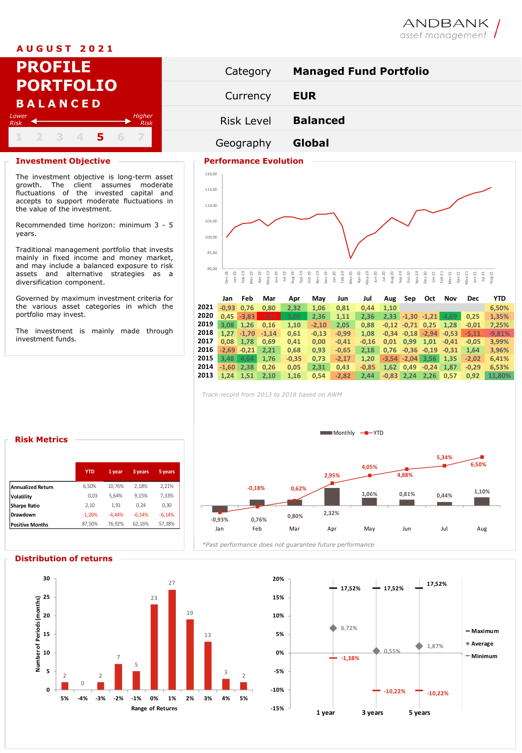## **A U G U S T 2 0 2 1**

|                      |  | <b>PROFILE</b>                      |   |                |  |
|----------------------|--|-------------------------------------|---|----------------|--|
|                      |  | <b>PORTFOLIO</b><br><b>BALANCED</b> |   |                |  |
| Lower<br><b>Risk</b> |  |                                     |   | Higher<br>Risk |  |
|                      |  |                                     | 5 |                |  |

### **Investment Objective**

The investment objective is long-term asset growth. The client assumes moderate fluctuations of the invested capital and accepts to support moderate fluctuations in the value of the investment.

Recommended time horizon: minimum 3 - 5 years.

Traditional management portfolio that invests mainly in fixed income and money market, and may include a balanced exposure to risk assets and alternative strategies as a diversification component.

Governed by maximum investment criteria for the various asset categories in which the portfolio may invest.

The investment is mainly made through investment funds.



ANDBANK asset management

# 100,00 105,00 110,00 115,00 120,00

## 90,00 Dec-18 Jan-19 Feb-19 Mar-19 Apr-19 May-19 Jun-19 Jul-19 Aug-19 Sep-19 Oct-19 Nov-19 Dec-19 Jan-20 Feb-20 Mar-20 Apr-20 May-20 Jun-20 Jul-20 Aug-20 Sep-20 Oct-20 Nov-20 Dec-20 Jan-21 Feb-21 Mar-21 Apr-21 May-21 Jun-21 Jul-21 Aug-21

|      | Jan          | Feb             | Mar     | Apr     | May     | Jun     | Jul     | Aug     | Sep                  | Oct           | Nov     | <b>Dec</b> | <b>YTD</b> |
|------|--------------|-----------------|---------|---------|---------|---------|---------|---------|----------------------|---------------|---------|------------|------------|
| 2021 | $-0.93$      | 0.76            | 0.80    | 2,32    | 1.06    | 0,81    | 0.44    | 1.10    |                      |               |         |            | 6.50%      |
| 2020 | 0.45         | $-3.83$         | $-9.97$ | 5,05    | 2.36    | 1.11    | 2.36    |         | $2,33 - 1,30 - 1,21$ |               | 4.69    | 0.25       | 1,35%      |
| 2019 | 3.08         | 1,26            | 0.16    | 1,10    | $-2.10$ | 2,05    | 0.88    | $-0.12$ | $-0.71$              | 0.25          | 1.28    | $-0.01$    | 7,25%      |
| 2018 | 1.27         | $-1.70$         | $-1.14$ | 0.61    | $-0.13$ | $-0.99$ | 1.08    | $-0.34$ | $-0.18$              | $-2,94$       | $-0.53$ | $-5.11$    | $-9.81%$   |
| 2017 | 0.08         | 1.78            | 0.69    | 0.41    | 0.00    | $-0.41$ | $-0.16$ | 0.01    | 0,99                 | 1,01          | $-0.41$ | $-0.05$    | 3,99%      |
| 2016 |              | $-2,69$ $-0,21$ | 2.21    | 0.68    | 0.93    | $-0.65$ | 2.18    | 0.76    |                      | $-0.36 -0.19$ | $-0.31$ | 1.64       | 3.96%      |
| 2015 | 3.48         | 4.64            | 1.76    | $-0,35$ | 0.73    | $-2.17$ | 1.20    | $-3.54$ | $-2.04$              | 3,56          | 1,35    | $-2.02$    | 6,41%      |
| 2014 | $-1.60$ 2.38 |                 | 0.26    | 0.05    | 2.31    | 0.43    | $-0.85$ | 1.62    | 0,49                 | $-0.24$       | 1.87    | $-0.29$    | 6.53%      |
| 2013 | 1.24         | 1,51            | 2.10    | 1,16    | 0.54    | $-2,82$ | 2.44    | $-0.83$ | 2,24                 | 2,26          | 0,57    | 0,92       | 11.80%     |

*Track-record from 2013 to 2018 based on AWM*

95,00



|                          | <b>YTD</b> | 1 year   | 3 years  | 5 years  |
|--------------------------|------------|----------|----------|----------|
| <b>Annualized Return</b> | 6.50%      | 10.76%   | 2.18%    | 2.21%    |
| Volatility               | 0,03       | 5.64%    | 9.15%    | 7,33%    |
| <b>Sharpe Ratio</b>      | 2,10       | 1,91     | 0.24     | 0,30     |
| Drawdown                 | $-1,26%$   | $-4.44%$ | $-6.14%$ | $-6,14%$ |
| <b>Positive Months</b>   | 87,50%     | 76,92%   | 62,16%   | 57,38%   |